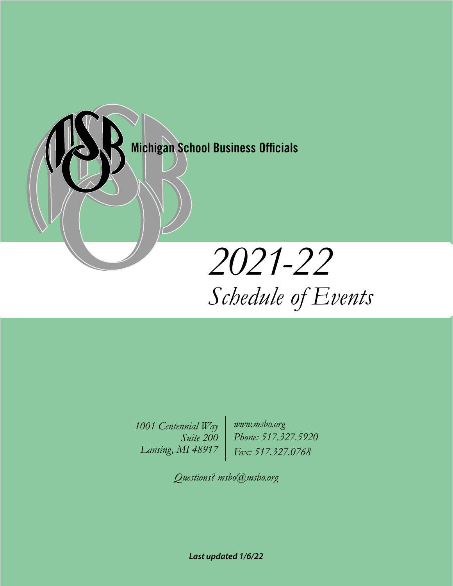

*1001 Centennial Way Suite 200 Lansing, MI 48917*

*www.msbo.org Phone: 517.327.5920 Fax: 517.327.0768*

*Questions? msbo@msbo.org*

*Last updated 1/6/22*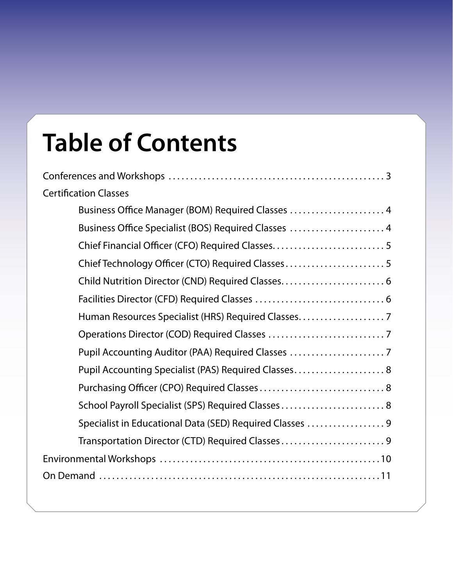## **Table of Contents**

| <b>Certification Classes</b>                             |
|----------------------------------------------------------|
| Business Office Manager (BOM) Required Classes  4        |
| Business Office Specialist (BOS) Required Classes  4     |
|                                                          |
| Chief Technology Officer (CTO) Required Classes5         |
|                                                          |
|                                                          |
| Human Resources Specialist (HRS) Required Classes        |
|                                                          |
| Pupil Accounting Auditor (PAA) Required Classes          |
| Pupil Accounting Specialist (PAS) Required Classes 8     |
|                                                          |
| School Payroll Specialist (SPS) Required Classes 8       |
| Specialist in Educational Data (SED) Required Classes  9 |
| Transportation Director (CTD) Required Classes9          |
|                                                          |
|                                                          |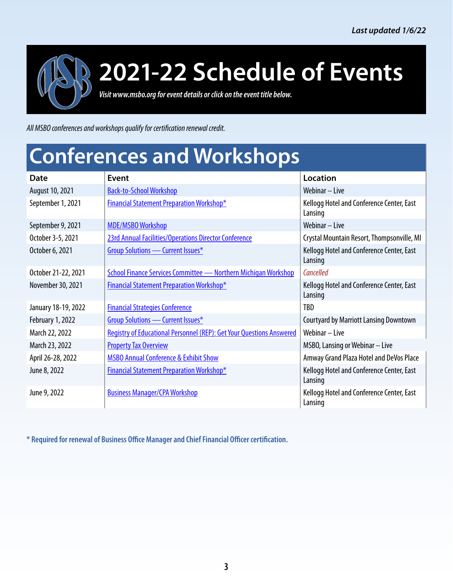<span id="page-2-0"></span>

*Visit www.msbo.org for event details or click on the event title below.*

*All MSBO conferences and workshops qualify for certification renewal credit.*

### **Conferences and Workshops**

| Date                    | Event                                                                       | Location                                             |
|-------------------------|-----------------------------------------------------------------------------|------------------------------------------------------|
| August 10, 2021         | <b>Back-to-School Workshop</b>                                              | Webinar - Live                                       |
| September 1, 2021       | <b>Financial Statement Preparation Workshop*</b>                            | Kellogg Hotel and Conference Center, East<br>Lansing |
| September 9, 2021       | <b>MDE/MSBO Workshop</b>                                                    | Webinar - Live                                       |
| October 3-5, 2021       | 23rd Annual Facilities/Operations Director Conference                       | Crystal Mountain Resort, Thompsonville, MI           |
| October 6, 2021         | <b>Group Solutions - Current Issues*</b>                                    | Kellogg Hotel and Conference Center, East<br>Lansing |
| October 21-22, 2021     | <b>School Finance Services Committee - Northern Michigan Workshop</b>       | Cancelled                                            |
| November 30, 2021       | <b>Financial Statement Preparation Workshop*</b>                            | Kellogg Hotel and Conference Center, East<br>Lansing |
| January 18-19, 2022     | <b>Financial Strategies Conference</b>                                      | TBD                                                  |
| <b>February 1, 2022</b> | <b>Group Solutions - Current Issues*</b>                                    | <b>Courtyard by Marriott Lansing Downtown</b>        |
| March 22, 2022          | <b>Registry of Educational Personnel (REP): Get Your Questions Answered</b> | Webinar - Live                                       |
| March 23, 2022          | <b>Property Tax Overview</b>                                                | MSBO, Lansing or Webinar - Live                      |
| April 26-28, 2022       | <b>MSBO Annual Conference &amp; Exhibit Show</b>                            | Amway Grand Plaza Hotel and DeVos Place              |
| June 8, 2022            | <b>Financial Statement Preparation Workshop*</b>                            | Kellogg Hotel and Conference Center, East<br>Lansing |
| June 9, 2022            | <b>Business Manager/CPA Workshop</b>                                        | Kellogg Hotel and Conference Center, East<br>Lansing |

**\* Required for renewal of Business Office Manager and Chief Financial Officer certification.**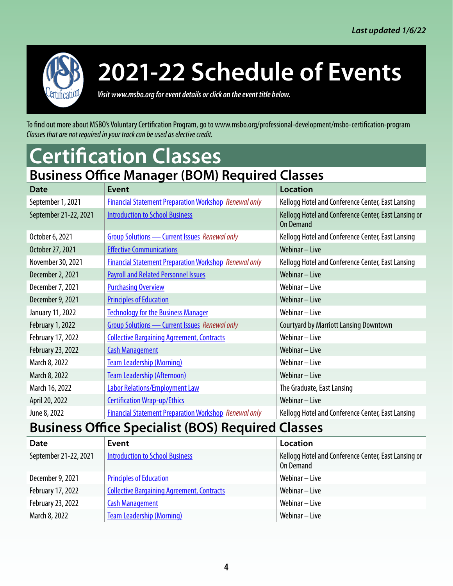<span id="page-3-0"></span>

*Visit www.msbo.org for event details or click on the event title below.*

To find out more about MSBO's Voluntary Certification Program, go to www.msbo.org/professional-development/msbo-certification-program *Classes that are not required in your track can be used as elective credit.*

### **Certification Classes**

### **Business Office Manager (BOM) Required Classes**

| $- - - - - - -$                                          |                                                              |                                                                          |
|----------------------------------------------------------|--------------------------------------------------------------|--------------------------------------------------------------------------|
| <b>Date</b>                                              | Event                                                        | <b>Location</b>                                                          |
| September 1, 2021                                        | <b>Financial Statement Preparation Workshop Renewal only</b> | Kellogg Hotel and Conference Center, East Lansing                        |
| September 21-22, 2021                                    | <b>Introduction to School Business</b>                       | Kellogg Hotel and Conference Center, East Lansing or<br><b>On Demand</b> |
| October 6, 2021                                          | <b>Group Solutions - Current Issues</b> Renewal only         | Kellogg Hotel and Conference Center, East Lansing                        |
| October 27, 2021                                         | <b>Effective Communications</b>                              | Webinar - Live                                                           |
| November 30, 2021                                        | <b>Financial Statement Preparation Workshop Renewal only</b> | Kellogg Hotel and Conference Center, East Lansing                        |
| December 2, 2021                                         | <b>Payroll and Related Personnel Issues</b>                  | Webinar - Live                                                           |
| December 7, 2021                                         | <b>Purchasing Overview</b>                                   | Webinar - Live                                                           |
| December 9, 2021                                         | <b>Principles of Education</b>                               | Webinar - Live                                                           |
| January 11, 2022                                         | <b>Technology for the Business Manager</b>                   | Webinar - Live                                                           |
| <b>February 1, 2022</b>                                  | <b>Group Solutions - Current Issues</b> Renewal only         | <b>Courtyard by Marriott Lansing Downtown</b>                            |
| February 17, 2022                                        | <b>Collective Bargaining Agreement, Contracts</b>            | Webinar - Live                                                           |
| February 23, 2022                                        | <b>Cash Management</b>                                       | Webinar - Live                                                           |
| March 8, 2022                                            | <b>Team Leadership (Morning)</b>                             | Webinar - Live                                                           |
| March 8, 2022                                            | <b>Team Leadership (Afternoon)</b>                           | Webinar - Live                                                           |
| March 16, 2022                                           | <b>Labor Relations/Employment Law</b>                        | The Graduate, East Lansing                                               |
| April 20, 2022                                           | <b>Certification Wrap-up/Ethics</b>                          | Webinar - Live                                                           |
| June 8, 2022                                             | <b>Financial Statement Preparation Workshop Renewal only</b> | Kellogg Hotel and Conference Center, East Lansing                        |
| <b>Business Office Specialist (BOS) Required Classes</b> |                                                              |                                                                          |
| <b>Date</b>                                              | Event                                                        | <b>Location</b>                                                          |

| <b>Date</b>           | Event                                             | Location                                                          |
|-----------------------|---------------------------------------------------|-------------------------------------------------------------------|
| September 21-22, 2021 | <b>Introduction to School Business</b>            | Kellogg Hotel and Conference Center, East Lansing or<br>On Demand |
| December 9, 2021      | <b>Principles of Education</b>                    | Webinar – Live                                                    |
| February 17, 2022     | <b>Collective Bargaining Agreement, Contracts</b> | Webinar – Live                                                    |
| February 23, 2022     | <b>Cash Management</b>                            | Webinar – Live                                                    |
| March 8, 2022         | <b>Team Leadership (Morning)</b>                  | Webinar – Live                                                    |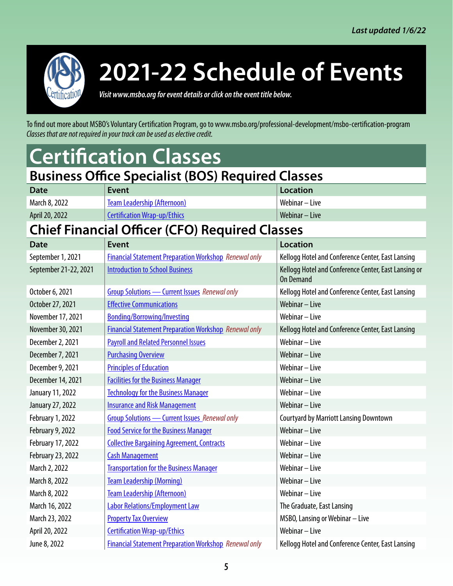<span id="page-4-0"></span>

*Visit www.msbo.org for event details or click on the event title below.*

To find out more about MSBO's Voluntary Certification Program, go to www.msbo.org/professional-development/msbo-certification-program *Classes that are not required in your track can be used as elective credit.*

### **Certification Classes**

#### **Business Office Specialist (BOS) Required Classes**

| <b>Date</b>    | Event                               | Location         |
|----------------|-------------------------------------|------------------|
| March 8, 2022  | Team Leadership (Afternoon)         | Webinar – Live   |
| April 20, 2022 | <b>Certification Wrap-up/Ethics</b> | Webinar $-$ Live |

#### **Chief Financial Officer (CFO) Required Classes**

| Chief Financial Omcer (CFO) Required Classes |                                                              |                                                                          |
|----------------------------------------------|--------------------------------------------------------------|--------------------------------------------------------------------------|
| <b>Date</b>                                  | <b>Event</b>                                                 | <b>Location</b>                                                          |
| September 1, 2021                            | <b>Financial Statement Preparation Workshop Renewal only</b> | Kellogg Hotel and Conference Center, East Lansing                        |
| September 21-22, 2021                        | <b>Introduction to School Business</b>                       | Kellogg Hotel and Conference Center, East Lansing or<br><b>On Demand</b> |
| October 6, 2021                              | <b>Group Solutions - Current Issues Renewal only</b>         | Kellogg Hotel and Conference Center, East Lansing                        |
| October 27, 2021                             | <b>Effective Communications</b>                              | Webinar - Live                                                           |
| November 17, 2021                            | <b>Bonding/Borrowing/Investing</b>                           | Webinar - Live                                                           |
| November 30, 2021                            | <b>Financial Statement Preparation Workshop Renewal only</b> | Kellogg Hotel and Conference Center, East Lansing                        |
| December 2, 2021                             | <b>Payroll and Related Personnel Issues</b>                  | Webinar - Live                                                           |
| December 7, 2021                             | <b>Purchasing Overview</b>                                   | Webinar - Live                                                           |
| December 9, 2021                             | <b>Principles of Education</b>                               | Webinar - Live                                                           |
| December 14, 2021                            | <b>Facilities for the Business Manager</b>                   | Webinar - Live                                                           |
| January 11, 2022                             | <b>Technology for the Business Manager</b>                   | Webinar - Live                                                           |
| January 27, 2022                             | <b>Insurance and Risk Management</b>                         | Webinar - Live                                                           |
| February 1, 2022                             | Group Solutions - Current Issues Renewal only                | <b>Courtyard by Marriott Lansing Downtown</b>                            |
| February 9, 2022                             | <b>Food Service for the Business Manager</b>                 | Webinar - Live                                                           |
| February 17, 2022                            | <b>Collective Bargaining Agreement, Contracts</b>            | Webinar - Live                                                           |
| February 23, 2022                            | <b>Cash Management</b>                                       | Webinar - Live                                                           |
| March 2, 2022                                | <b>Transportation for the Business Manager</b>               | Webinar - Live                                                           |
| March 8, 2022                                | <b>Team Leadership (Morning)</b>                             | Webinar - Live                                                           |
| March 8, 2022                                | <b>Team Leadership (Afternoon)</b>                           | Webinar - Live                                                           |
| March 16, 2022                               | <b>Labor Relations/Employment Law</b>                        | The Graduate, East Lansing                                               |
| March 23, 2022                               | <b>Property Tax Overview</b>                                 | MSBO, Lansing or Webinar - Live                                          |
| April 20, 2022                               | <b>Certification Wrap-up/Ethics</b>                          | Webinar - Live                                                           |
| June 8, 2022                                 | <b>Financial Statement Preparation Workshop Renewal only</b> | Kellogg Hotel and Conference Center, East Lansing                        |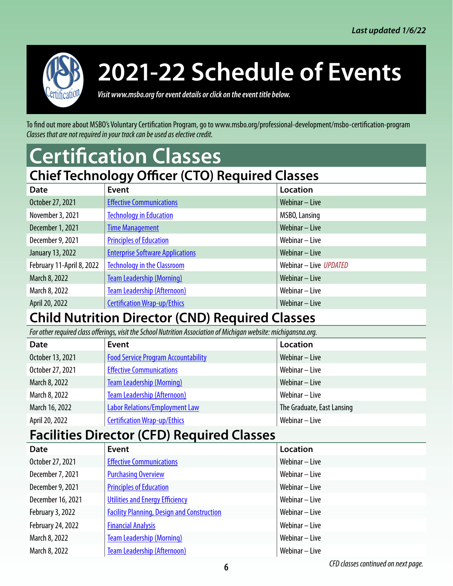<span id="page-5-0"></span>

*Visit www.msbo.org for event details or click on the event title below.*

To find out more about MSBO's Voluntary Certification Program, go to www.msbo.org/professional-development/msbo-certification-program *Classes that are not required in your track can be used as elective credit.*

### **Certification Classes**

| <b>Chief Technology Officer (CTO) Required Classes</b> |                                         |                        |
|--------------------------------------------------------|-----------------------------------------|------------------------|
| <b>Date</b>                                            | Event                                   | Location               |
| October 27, 2021                                       | <b>Effective Communications</b>         | Webinar - Live         |
| November 3, 2021                                       | <b>Technology in Education</b>          | MSBO, Lansing          |
| December 1, 2021                                       | <b>Time Management</b>                  | Webinar - Live         |
| December 9, 2021                                       | <b>Principles of Education</b>          | Webinar - Live         |
| January 13, 2022                                       | <b>Enterprise Software Applications</b> | Webinar - Live         |
| February 11-April 8, 2022                              | <b>Technology in the Classroom</b>      | Webinar - Live UPDATED |
| March 8, 2022                                          | <b>Team Leadership (Morning)</b>        | Webinar - Live         |
| March 8, 2022                                          | <b>Team Leadership (Afternoon)</b>      | Webinar - Live         |
| April 20, 2022                                         | <b>Certification Wrap-up/Ethics</b>     | Webinar - Live         |

#### **Child Nutrition Director (CND) Required Classes**

*For other required class offerings, visit the School Nutrition Association of Michigan website: michigansna.org.*

| <b>Date</b>      | Event                                      | Location                   |
|------------------|--------------------------------------------|----------------------------|
| October 13, 2021 | <b>Food Service Program Accountability</b> | Webinar - Live             |
| October 27, 2021 | <b>Effective Communications</b>            | Webinar – Live             |
| March 8, 2022    | <b>Team Leadership (Morning)</b>           | Webinar $-$ Live           |
| March 8, 2022    | <b>Team Leadership (Afternoon)</b>         | Webinar – Live             |
| March 16, 2022   | <b>Labor Relations/Employment Law</b>      | The Graduate, East Lansing |
| April 20, 2022   | <b>Certification Wrap-up/Ethics</b>        | Webinar – Live             |

#### **Facilities Director (CFD) Required Classes**

| <b>Date</b>       | <b>Event</b>                                      | Location       |
|-------------------|---------------------------------------------------|----------------|
| October 27, 2021  | <b>Effective Communications</b>                   | Webinar - Live |
| December 7, 2021  | <b>Purchasing Overview</b>                        | Webinar - Live |
| December 9, 2021  | <b>Principles of Education</b>                    | Webinar - Live |
| December 16, 2021 | <b>Utilities and Energy Efficiency</b>            | Webinar – Live |
| February 3, 2022  | <b>Facility Planning, Design and Construction</b> | Webinar - Live |
| February 24, 2022 | <b>Financial Analysis</b>                         | Webinar - Live |
| March 8, 2022     | <b>Team Leadership (Morning)</b>                  | Webinar – Live |
| March 8, 2022     | <b>Team Leadership (Afternoon)</b>                | Webinar - Live |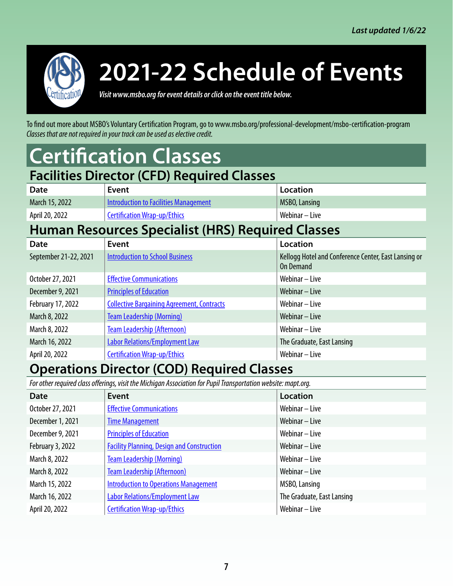<span id="page-6-0"></span>

*Visit www.msbo.org for event details or click on the event title below.*

To find out more about MSBO's Voluntary Certification Program, go to www.msbo.org/professional-development/msbo-certification-program *Classes that are not required in your track can be used as elective credit.*

### **Certification Classes**

#### **Facilities Director (CFD) Required Classes Date Event Exercise Event Exercise** March 15, 2022 [Introduction to Facilities Management](https://www.msbo.org/professional-development/events/introduction-to-facilities-management/) MSBO, Lansing April 20, 2022 **[Certification Wrap-up/Ethics](https://www.msbo.org/professional-development/events/certification-wrap-up-ethics-webinar-2/)** Webinar – Live

#### **Human Resources Specialist (HRS) Required Classes**

| <b>Date</b>           | Event                                             | Location                                                          |
|-----------------------|---------------------------------------------------|-------------------------------------------------------------------|
| September 21-22, 2021 | <b>Introduction to School Business</b>            | Kellogg Hotel and Conference Center, East Lansing or<br>On Demand |
| October 27, 2021      | <b>Effective Communications</b>                   | Webinar - Live                                                    |
| December 9, 2021      | <b>Principles of Education</b>                    | Webinar - Live                                                    |
| February 17, 2022     | <b>Collective Bargaining Agreement, Contracts</b> | Webinar - Live                                                    |
| March 8, 2022         | <b>Team Leadership (Morning)</b>                  | Webinar - Live                                                    |
| March 8, 2022         | <b>Team Leadership (Afternoon)</b>                | Webinar - Live                                                    |
| March 16, 2022        | <b>Labor Relations/Employment Law</b>             | The Graduate, East Lansing                                        |
| April 20, 2022        | <b>Certification Wrap-up/Ethics</b>               | Webinar - Live                                                    |

#### **Operations Director (COD) Required Classes**

*For other required class offerings, visit the Michigan Association for Pupil Transportation website: mapt.org.*

| <b>Date</b>      | <b>Event</b>                                      | Location                   |
|------------------|---------------------------------------------------|----------------------------|
| October 27, 2021 | <b>Effective Communications</b>                   | Webinar - Live             |
| December 1, 2021 | <b>Time Management</b>                            | Webinar - Live             |
| December 9, 2021 | <b>Principles of Education</b>                    | Webinar - Live             |
| February 3, 2022 | <b>Facility Planning, Design and Construction</b> | Webinar - Live             |
| March 8, 2022    | <b>Team Leadership (Morning)</b>                  | Webinar - Live             |
| March 8, 2022    | <b>Team Leadership (Afternoon)</b>                | Webinar - Live             |
| March 15, 2022   | <b>Introduction to Operations Management</b>      | MSBO, Lansing              |
| March 16, 2022   | <b>Labor Relations/Employment Law</b>             | The Graduate, East Lansing |
| April 20, 2022   | <b>Certification Wrap-up/Ethics</b>               | Webinar - Live             |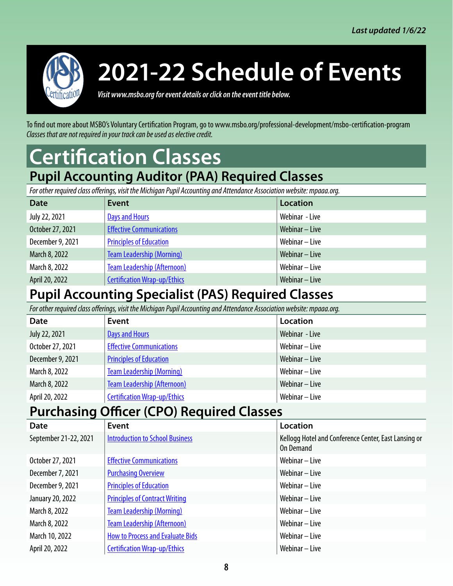<span id="page-7-0"></span>

*Visit www.msbo.org for event details or click on the event title below.*

To find out more about MSBO's Voluntary Certification Program, go to www.msbo.org/professional-development/msbo-certification-program *Classes that are not required in your track can be used as elective credit.*

### **Certification Classes Pupil Accounting Auditor (PAA) Required Classes**

*For other required class offerings, visit the Michigan Pupil Accounting and Attendance Association website: mpaaa.org.*

| <b>Date</b>      | Event                               | Location         |
|------------------|-------------------------------------|------------------|
| July 22, 2021    | <b>Days and Hours</b>               | Webinar - Live   |
| October 27, 2021 | <b>Effective Communications</b>     | Webinar - Live   |
| December 9, 2021 | <b>Principles of Education</b>      | Webinar – Live   |
| March 8, 2022    | <b>Team Leadership (Morning)</b>    | Webinar $-$ Live |
| March 8, 2022    | <b>Team Leadership (Afternoon)</b>  | Webinar – Live   |
| April 20, 2022   | <b>Certification Wrap-up/Ethics</b> | Webinar - Live   |

#### **Pupil Accounting Specialist (PAS) Required Classes**

*For other required class offerings, visit the Michigan Pupil Accounting and Attendance Association website: mpaaa.org.*

| <b>Date</b>      | Event                               | Location         |
|------------------|-------------------------------------|------------------|
| July 22, 2021    | <b>Days and Hours</b>               | Webinar - Live   |
| October 27, 2021 | <b>Effective Communications</b>     | Webinar - Live   |
| December 9, 2021 | <b>Principles of Education</b>      | Webinar $-$ Live |
| March 8, 2022    | <b>Team Leadership (Morning)</b>    | Webinar – Live   |
| March 8, 2022    | <b>Team Leadership (Afternoon)</b>  | Webinar $-$ Live |
| April 20, 2022   | <b>Certification Wrap-up/Ethics</b> | Webinar - Live   |

#### **Purchasing Officer (CPO) Required Classes**

| Date                  | Event                                   | Location                                                          |
|-----------------------|-----------------------------------------|-------------------------------------------------------------------|
| September 21-22, 2021 | <b>Introduction to School Business</b>  | Kellogg Hotel and Conference Center, East Lansing or<br>On Demand |
| October 27, 2021      | <b>Effective Communications</b>         | Webinar - Live                                                    |
| December 7, 2021      | <b>Purchasing Overview</b>              | Webinar - Live                                                    |
| December 9, 2021      | <b>Principles of Education</b>          | Webinar – Live                                                    |
| January 20, 2022      | <b>Principles of Contract Writing</b>   | Webinar – Live                                                    |
| March 8, 2022         | <b>Team Leadership (Morning)</b>        | Webinar - Live                                                    |
| March 8, 2022         | <b>Team Leadership (Afternoon)</b>      | Webinar - Live                                                    |
| March 10, 2022        | <b>How to Process and Evaluate Bids</b> | Webinar - Live                                                    |
| April 20, 2022        | <b>Certification Wrap-up/Ethics</b>     | Webinar - Live                                                    |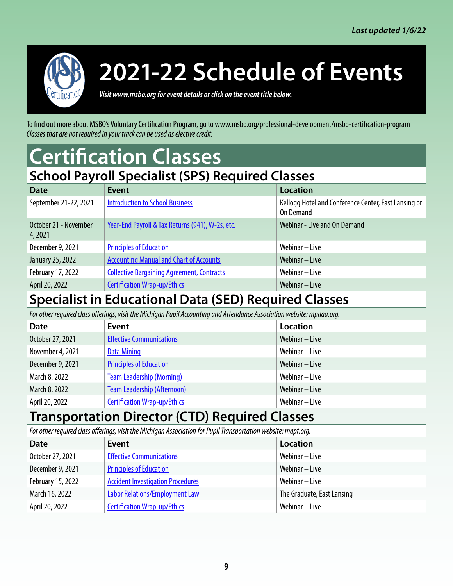<span id="page-8-0"></span>

*Visit www.msbo.org for event details or click on the event title below.*

To find out more about MSBO's Voluntary Certification Program, go to www.msbo.org/professional-development/msbo-certification-program *Classes that are not required in your track can be used as elective credit.*

### **Certification Classes**

#### **School Payroll Specialist (SPS) Required Classes**

| <b>Event</b>                                      | <b>Location</b>                                                   |  |  |  |
|---------------------------------------------------|-------------------------------------------------------------------|--|--|--|
| <b>Introduction to School Business</b>            | Kellogg Hotel and Conference Center, East Lansing or<br>On Demand |  |  |  |
| Year-End Payroll & Tax Returns (941), W-2s, etc.  | Webinar - Live and On Demand                                      |  |  |  |
| <b>Principles of Education</b>                    | Webinar – Live                                                    |  |  |  |
| <b>Accounting Manual and Chart of Accounts</b>    | Webinar – Live                                                    |  |  |  |
| <b>Collective Bargaining Agreement, Contracts</b> | Webinar – Live                                                    |  |  |  |
| <b>Certification Wrap-up/Ethics</b>               | Webinar - Live                                                    |  |  |  |
|                                                   |                                                                   |  |  |  |

#### **Specialist in Educational Data (SED) Required Classes**

*For other required class offerings, visit the Michigan Pupil Accounting and Attendance Association website: mpaaa.org.*

| <b>Date</b>      | Event                               | Location       |
|------------------|-------------------------------------|----------------|
| October 27, 2021 | <b>Effective Communications</b>     | Webinar - Live |
| November 4, 2021 | <b>Data Mining</b>                  | Webinar - Live |
| December 9, 2021 | <b>Principles of Education</b>      | Webinar - Live |
| March 8, 2022    | <b>Team Leadership (Morning)</b>    | Webinar – Live |
| March 8, 2022    | <b>Team Leadership (Afternoon)</b>  | Webinar - Live |
| April 20, 2022   | <b>Certification Wrap-up/Ethics</b> | Webinar - Live |

#### **Transportation Director (CTD) Required Classes**

*For other required class offerings, visit the Michigan Association for Pupil Transportation website: mapt.org.*

| <b>Date</b>       | $\cdot$ $\cdot$<br>Event                 | Location                   |
|-------------------|------------------------------------------|----------------------------|
| October 27, 2021  | <b>Effective Communications</b>          | Webinar – Live             |
| December 9, 2021  | <b>Principles of Education</b>           | Webinar – Live             |
| February 15, 2022 | <b>Accident Investigation Procedures</b> | Webinar – Live             |
| March 16, 2022    | <b>Labor Relations/Employment Law</b>    | The Graduate, East Lansing |
| April 20, 2022    | <b>Certification Wrap-up/Ethics</b>      | Webinar – Live             |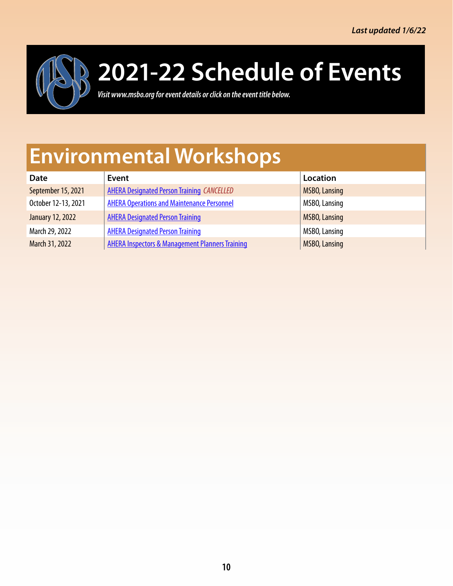<span id="page-9-0"></span>

*Visit www.msbo.org for event details or click on the event title below.*

### **Environmental Workshops**

| <b>Date</b>         | Event                                                      | Location             |
|---------------------|------------------------------------------------------------|----------------------|
| September 15, 2021  | <b>AHERA Designated Person Training CANCELLED</b>          | <b>MSBO, Lansing</b> |
| October 12-13, 2021 | <b>AHERA Operations and Maintenance Personnel</b>          | MSBO, Lansing        |
| January 12, 2022    | <b>AHERA Designated Person Training</b>                    | <b>MSBO, Lansing</b> |
| March 29, 2022      | <b>AHERA Designated Person Training</b>                    | MSBO, Lansing        |
| March 31, 2022      | <b>AHERA Inspectors &amp; Management Planners Training</b> | <b>MSBO, Lansing</b> |